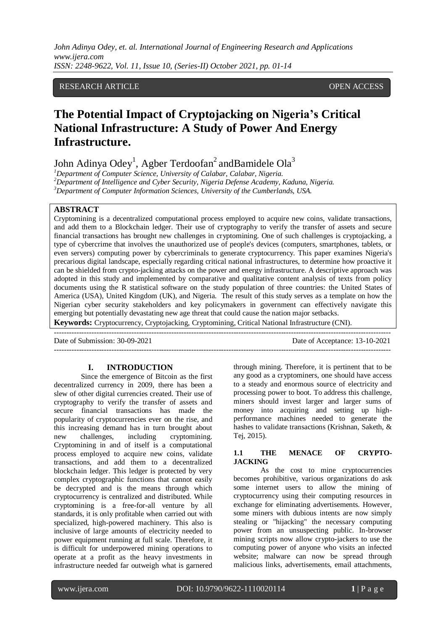# RESEARCH ARTICLE OPEN ACCESS

# **The Potential Impact of Cryptojacking on Nigeria's Critical National Infrastructure: A Study of Power And Energy Infrastructure.**

John Adinya Odey<sup>1</sup>, Agber Terdoofan<sup>2</sup> andBamidele Ola<sup>3</sup>

*<sup>1</sup>Department of Computer Science, University of Calabar, Calabar, Nigeria. <sup>2</sup>Department of Intelligence and Cyber Security, Nigeria Defense Academy, Kaduna, Nigeria. <sup>3</sup>Department of Computer Information Sciences, University of the Cumberlands, USA.*

## **ABSTRACT**

Cryptomining is a decentralized computational process employed to acquire new coins, validate transactions, and add them to a Blockchain ledger. Their use of cryptography to verify the transfer of assets and secure financial transactions has brought new challenges in cryptomining. One of such challenges is cryptojacking, a type of cybercrime that involves the unauthorized use of people's devices (computers, smartphones, tablets, or even servers) computing power by cybercriminals to generate cryptocurrency. This paper examines Nigeria's precarious digital landscape, especially regarding critical national infrastructures, to determine how proactive it can be shielded from crypto-jacking attacks on the power and energy infrastructure. A descriptive approach was adopted in this study and implemented by comparative and qualitative content analysis of texts from policy documents using the R statistical software on the study population of three countries: the United States of America (USA), United Kingdom (UK), and Nigeria. The result of this study serves as a template on how the Nigerian cyber security stakeholders and key policymakers in government can effectively navigate this emerging but potentially devastating new age threat that could cause the nation major setbacks.

**Keywords:** Cryptocurrency, Cryptojacking, Cryptomining, Critical National Infrastructure (CNI).

--------------------------------------------------------------------------------------------------------------------------------------- Date of Submission: 30-09-2021 Date of Acceptance: 13-10-2021 ---------------------------------------------------------------------------------------------------------------------------------------

#### **I. INTRODUCTION**

Since the emergence of Bitcoin as the first decentralized currency in 2009, there has been a slew of other digital currencies created. Their use of cryptography to verify the transfer of assets and secure financial transactions has made the popularity of cryptocurrencies ever on the rise, and this increasing demand has in turn brought about new challenges, including cryptomining. Cryptomining in and of itself is a computational process employed to acquire new coins, validate transactions, and add them to a decentralized blockchain ledger. This ledger is protected by very complex cryptographic functions that cannot easily be decrypted and is the means through which cryptocurrency is centralized and distributed. While cryptomining is a free-for-all venture by all standards, it is only profitable when carried out with specialized, high-powered machinery. This also is inclusive of large amounts of electricity needed to power equipment running at full scale. Therefore, it is difficult for underpowered mining operations to operate at a profit as the heavy investments in infrastructure needed far outweigh what is garnered

through mining. Therefore, it is pertinent that to be any good as a cryptominers, one should have access to a steady and enormous source of electricity and processing power to boot. To address this challenge, miners should invest larger and larger sums of money into acquiring and setting up highperformance machines needed to generate the hashes to validate transactions (Krishnan, Saketh, & Tej, 2015).

#### **1.1 THE MENACE OF CRYPTO-JACKING**

As the cost to mine cryptocurrencies becomes prohibitive, various organizations do ask some internet users to allow the mining of cryptocurrency using their computing resources in exchange for eliminating advertisements. However, some miners with dubious intents are now simply stealing or "hijacking" the necessary computing power from an unsuspecting public. In-browser mining scripts now allow crypto-jackers to use the computing power of anyone who visits an infected website; malware can now be spread through malicious links, advertisements, email attachments,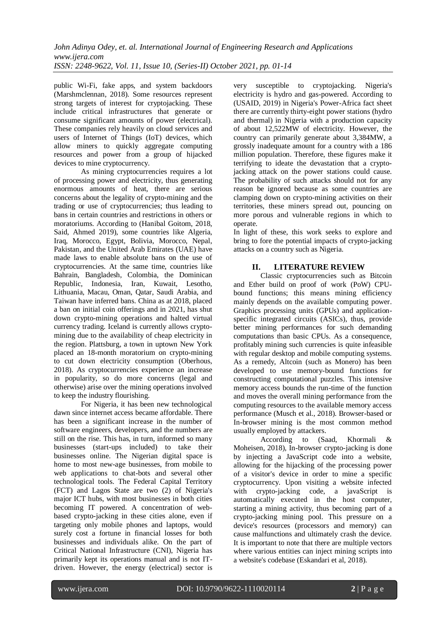public Wi-Fi, fake apps, and system backdoors (Marshmclennan, 2018). Some resources represent strong targets of interest for cryptojacking. These include critical infrastructures that generate or consume significant amounts of power (electrical). These companies rely heavily on cloud services and users of Internet of Things (IoT) devices, which allow miners to quickly aggregate computing resources and power from a group of hijacked devices to mine cryptocurrency.

As mining cryptocurrencies requires a lot of processing power and electricity, thus generating enormous amounts of heat, there are serious concerns about the legality of crypto-mining and the trading or use of cryptocurrencies; thus leading to bans in certain countries and restrictions in others or moratoriums. According to (Hanibal Goitom, 2018, Said, Ahmed 2019), some countries like Algeria, Iraq, Morocco, Egypt, Bolivia, Morocco, Nepal, Pakistan, and the United Arab Emirates (UAE) have made laws to enable absolute bans on the use of cryptocurrencies. At the same time, countries like Bahrain, Bangladesh, Colombia, the Dominican Republic, Indonesia, Iran, Kuwait, Lesotho, Lithuania, Macau, Oman, Qatar, Saudi Arabia, and Taiwan have inferred bans. China as at 2018, placed a ban on initial coin offerings and in 2021, has shut down crypto-mining operations and halted virtual currency trading. Iceland is currently allows cryptomining due to the availability of cheap electricity in the region. Plattsburg, a town in uptown New York placed an 18-month moratorium on crypto-mining to cut down electricity consumption (Oberhous, 2018). As cryptocurrencies experience an increase in popularity, so do more concerns (legal and otherwise) arise over the mining operations involved to keep the industry flourishing.

For Nigeria, it has been new technological dawn since internet access became affordable. There has been a significant increase in the number of software engineers, developers, and the numbers are still on the rise. This has, in turn, informed so many businesses (start-ups included) to take their businesses online. The Nigerian digital space is home to most new-age businesses, from mobile to web applications to chat-bots and several other technological tools. The Federal Capital Territory (FCT) and Lagos State are two (2) of Nigeria's major ICT hubs, with most businesses in both cities becoming IT powered. A concentration of webbased crypto-jacking in these cities alone, even if targeting only mobile phones and laptops, would surely cost a fortune in financial losses for both businesses and individuals alike. On the part of Critical National Infrastructure (CNI), Nigeria has primarily kept its operations manual and is not ITdriven. However, the energy (electrical) sector is

very susceptible to cryptojacking. Nigeria's electricity is hydro and gas-powered. According to (USAID, 2019) in Nigeria's Power-Africa fact sheet there are currently thirty-eight power stations (hydro and thermal) in Nigeria with a production capacity of about 12,522MW of electricity. However, the country can primarily generate about 3,384MW, a grossly inadequate amount for a country with a 186 million population. Therefore, these figures make it terrifying to ideate the devastation that a cryptojacking attack on the power stations could cause. The probability of such attacks should not for any reason be ignored because as some countries are clamping down on crypto-mining activities on their territories, these miners spread out, pouncing on more porous and vulnerable regions in which to operate.

In light of these, this work seeks to explore and bring to fore the potential impacts of crypto-jacking attacks on a country such as Nigeria.

# **II. LITERATURE REVIEW**

Classic cryptocurrencies such as Bitcoin and Ether build on proof of work (PoW) CPUbound functions; this means mining efficiency mainly depends on the available computing power. Graphics processing units (GPUs) and applicationspecific integrated circuits (ASICs), thus, provide better mining performances for such demanding computations than basic CPUs. As a consequence, profitably mining such currencies is quite infeasible with regular desktop and mobile computing systems. As a remedy, Altcoin (such as Monero) has been developed to use memory-bound functions for constructing computational puzzles. This intensive memory access bounds the run-time of the function and moves the overall mining performance from the computing resources to the available memory access performance (Musch et al., 2018). Browser-based or In-browser mining is the most common method usually employed by attackers.

According to (Saad, Khormali & Moheisen, 2018), In-browser crypto-jacking is done by injecting a JavaScript code into a website, allowing for the hijacking of the processing power of a visitor's device in order to mine a specific cryptocurrency. Upon visiting a website infected with crypto-jacking code, a javaScript is automatically executed in the host computer, starting a mining activity, thus becoming part of a crypto-jacking mining pool. This pressure on a device's resources (processors and memory) can cause malfunctions and ultimately crash the device. It is important to note that there are multiple vectors where various entities can inject mining scripts into a website's codebase (Eskandari et al, 2018).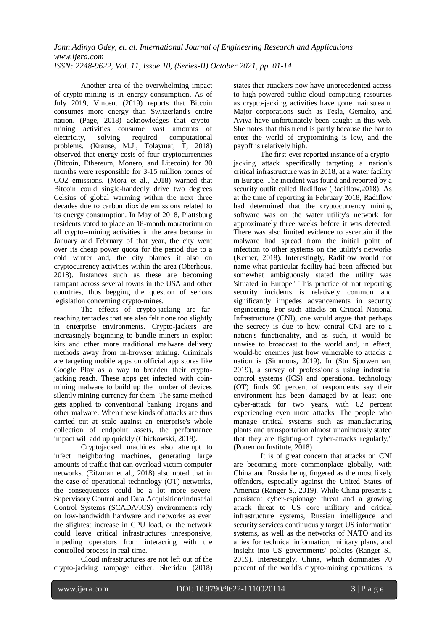Another area of the overwhelming impact of crypto-mining is in energy consumption. As of July 2019, Vincent (2019) reports that Bitcoin consumes more energy than Switzerland's entire nation. (Page, 2018) acknowledges that cryptomining activities consume vast amounts of<br>electricity. solving required computational electricity, solving required computational problems. (Krause, M.J., Tolaymat, T, 2018) observed that energy costs of four cryptocurrencies (Bitcoin, Ethereum, Monero, and Litecoin) for 30 months were responsible for 3-15 million tonnes of CO2 emissions. (Mora et al., 2018) warned that Bitcoin could single-handedly drive two degrees Celsius of global warming within the next three decades due to carbon dioxide emissions related to its energy consumption. In May of 2018, Plattsburg residents voted to place an 18-month moratorium on all crypto--mining activities in the area because in January and February of that year, the city went over its cheap power quota for the period due to a cold winter and, the city blames it also on cryptocurrency activities within the area (Oberhous, 2018). Instances such as these are becoming rampant across several towns in the USA and other countries, thus begging the question of serious legislation concerning crypto-mines.

The effects of crypto-jacking are farreaching tentacles that are also felt none too slightly in enterprise environments. Crypto-jackers are increasingly beginning to bundle miners in exploit kits and other more traditional malware delivery methods away from in-browser mining. Criminals are targeting mobile apps on official app stores like Google Play as a way to broaden their cryptojacking reach. These apps get infected with coinmining malware to build up the number of devices silently mining currency for them. The same method gets applied to conventional banking Trojans and other malware. When these kinds of attacks are thus carried out at scale against an enterprise's whole collection of endpoint assets, the performance impact will add up quickly (Chickowski, 2018).

Cryptojacked machines also attempt to infect neighboring machines, generating large amounts of traffic that can overload victim computer networks. (Eitzman et al., 2018) also noted that in the case of operational technology (OT) networks, the consequences could be a lot more severe. Supervisory Control and Data Acquisition/Industrial Control Systems (SCADA/ICS) environments rely on low-bandwidth hardware and networks as even the slightest increase in CPU load, or the network could leave critical infrastructures unresponsive, impeding operators from interacting with the controlled process in real-time.

Cloud infrastructures are not left out of the crypto-jacking rampage either. Sheridan (2018) states that attackers now have unprecedented access to high-powered public cloud computing resources as crypto-jacking activities have gone mainstream. Major corporations such as Tesla, Gemalto, and Aviva have unfortunately been caught in this web. She notes that this trend is partly because the bar to enter the world of cryptomining is low, and the payoff is relatively high.

The first-ever reported instance of a cryptojacking attack specifically targeting a nation's critical infrastructure was in 2018, at a water facility in Europe. The incident was found and reported by a security outfit called Radiflow (Radiflow,2018). As at the time of reporting in February 2018, Radiflow had determined that the cryptocurrency mining software was on the water utility's network for approximately three weeks before it was detected. There was also limited evidence to ascertain if the malware had spread from the initial point of infection to other systems on the utility's networks (Kerner, 2018). Interestingly, Radiflow would not name what particular facility had been affected but somewhat ambiguously stated the utility was 'situated in Europe.' This practice of not reporting security incidents is relatively common and significantly impedes advancements in security engineering. For such attacks on Critical National Infrastructure (CNI), one would argue that perhaps the secrecy is due to how central CNI are to a nation's functionality, and as such, it would be unwise to broadcast to the world and, in effect, would-be enemies just how vulnerable to attacks a nation is (Simmons, 2019). In (Stu Sjouwerman, 2019), a survey of professionals using industrial control systems (ICS) and operational technology (OT) finds 90 percent of respondents say their environment has been damaged by at least one cyber-attack for two years, with 62 percent experiencing even more attacks. The people who manage critical systems such as manufacturing plants and transportation almost unanimously stated that they are fighting-off cyber-attacks regularly," (Ponemon Institute, 2018)

It is of great concern that attacks on CNI are becoming more commonplace globally, with China and Russia being fingered as the most likely offenders, especially against the United States of America (Ranger S., 2019). While China presents a persistent cyber-espionage threat and a growing attack threat to US core military and critical infrastructure systems, Russian intelligence and security services continuously target US information systems, as well as the networks of NATO and its allies for technical information, military plans, and insight into US governments' policies (Ranger S., 2019). Interestingly, China, which dominates 70 percent of the world's crypto-mining operations, is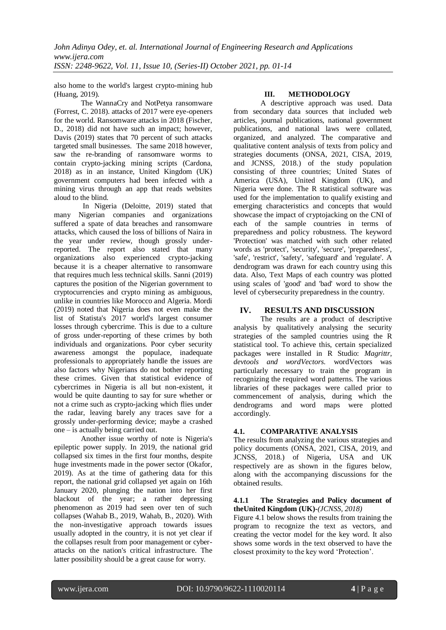also home to the world's largest crypto-mining hub (Huang, 2019).

The WannaCry and NotPetya ransomware (Forrest, C. 2018). attacks of 2017 were eye-openers for the world. Ransomware attacks in 2018 (Fischer, D., 2018) did not have such an impact: however, Davis (2019) states that 70 percent of such attacks targeted small businesses. The same 2018 however, saw the re-branding of ransomware worms to contain crypto-jacking mining scripts (Cardona, 2018) as in an instance, United Kingdom (UK) government computers had been infected with a mining virus through an app that reads websites aloud to the blind.

In Nigeria (Deloitte, 2019) stated that many Nigerian companies and organizations suffered a spate of data breaches and ransomware attacks, which caused the loss of billions of Naira in the year under review, though grossly underreported. The report also stated that many organizations also experienced crypto-jacking because it is a cheaper alternative to ransomware that requires much less technical skills. Sanni (2019) captures the position of the Nigerian government to cryptocurrencies and crypto mining as ambiguous, unlike in countries like Morocco and Algeria. Mordi (2019) noted that Nigeria does not even make the list of Statista's 2017 world's largest consumer losses through cybercrime. This is due to a culture of gross under-reporting of these crimes by both individuals and organizations. Poor cyber security awareness amongst the populace, inadequate professionals to appropriately handle the issues are also factors why Nigerians do not bother reporting these crimes. Given that statistical evidence of cybercrimes in Nigeria is all but non-existent, it would be quite daunting to say for sure whether or not a crime such as crypto-jacking which flies under the radar, leaving barely any traces save for a grossly under-performing device; maybe a crashed one – is actually being carried out.

Another issue worthy of note is Nigeria's epileptic power supply. In 2019, the national grid collapsed six times in the first four months, despite huge investments made in the power sector (Okafor, 2019). As at the time of gathering data for this report, the national grid collapsed yet again on 16th January 2020, plunging the nation into her first blackout of the year; a rather depressing phenomenon as 2019 had seen over ten of such collapses (Wahab B., 2019, Wahab, B., 2020). With the non-investigative approach towards issues usually adopted in the country, it is not yet clear if the collapses result from poor management or cyberattacks on the nation's critical infrastructure. The latter possibility should be a great cause for worry.

#### **III. METHODOLOGY**

A descriptive approach was used. Data from secondary data sources that included web articles, journal publications, national government publications, and national laws were collated, organized, and analyzed. The comparative and qualitative content analysis of texts from policy and strategies documents (ONSA, 2021, CISA, 2019, and JCNSS, 2018.) of the study population consisting of three countries; United States of America (USA), United Kingdom (UK), and Nigeria were done. The R statistical software was used for the implementation to qualify existing and emerging characteristics and concepts that would showcase the impact of cryptojacking on the CNI of each of the sample countries in terms of preparedness and policy robustness. The keyword 'Protection' was matched with such other related words as 'protect', 'security', 'secure', 'preparedness', 'safe', 'restrict', 'safety', 'safeguard' and 'regulate'. A dendrogram was drawn for each country using this data. Also, Text Maps of each country was plotted using scales of 'good' and 'bad' word to show the level of cybersecurity preparedness in the country.

# **IV. RESULTS AND DISCUSSION**

The results are a product of descriptive analysis by qualitatively analysing the security strategies of the sampled countries using the R statistical tool. To achieve this, certain specialized packages were installed in R Studio: *Magrittr, devtools and wordVectors.* wordVectors was particularly necessary to train the program in recognizing the required word patterns. The various libraries of these packages were called prior to commencement of analysis, during which the dendrograms and word maps were plotted accordingly.

## **4.1. COMPARATIVE ANALYSIS**

The results from analyzing the various strategies and policy documents (ONSA, 2021, CISA, 2019, and JCNSS, 2018.) of Nigeria, USA and UK respectively are as shown in the figures below, along with the accompanying discussions for the obtained results.

#### **4.1.1 The Strategies and Policy document of theUnited Kingdom (UK)-***(JCNSS, 2018)*

Figure 4.1 below shows the results from training the program to recognize the text as vectors, and creating the vector model for the key word. It also shows some words in the text observed to have the closest proximity to the key word "Protection".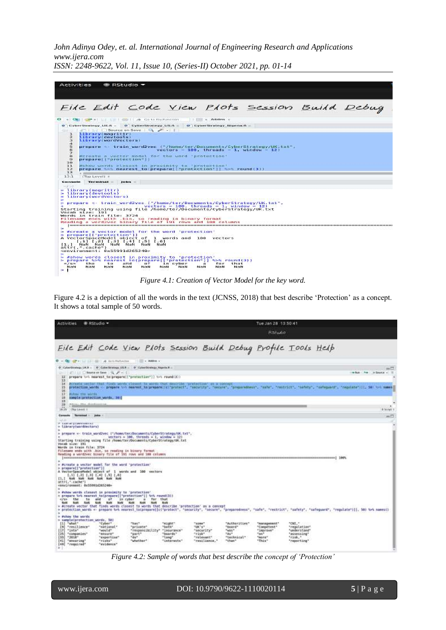|                                      | <b>Activities</b><br>$\bullet$ RStudio $\star$                                                                                                                                                                                                                                                                                                                                      |
|--------------------------------------|-------------------------------------------------------------------------------------------------------------------------------------------------------------------------------------------------------------------------------------------------------------------------------------------------------------------------------------------------------------------------------------|
|                                      | File Edit Code View Plots Session Build Debug<br>. Can car . Li Li car cost on memorian I lill . Addition                                                                                                                                                                                                                                                                           |
|                                      | @ CyberStrategy_UK.R = @ CyberStrategy_US.R = @ CyberStrategy_Nigeria.R =                                                                                                                                                                                                                                                                                                           |
|                                      | $\frac{1}{2}$ $\frac{1}{2}$ $\frac{1}{2}$ $\frac{1}{2}$ $\frac{1}{2}$ $\frac{1}{2}$ $\frac{1}{2}$ $\frac{1}{2}$ $\frac{1}{2}$ $\frac{1}{2}$ $\frac{1}{2}$ $\frac{1}{2}$ $\frac{1}{2}$ $\frac{1}{2}$ $\frac{1}{2}$ $\frac{1}{2}$ $\frac{1}{2}$ $\frac{1}{2}$ $\frac{1}{2}$ $\frac{1}{2}$ $\frac{1}{2}$ $\frac{1}{2}$                                                                 |
| ı<br>a<br>з                          | <b>Library(magrittr)</b><br>library(devtools)<br>Library(wordVectors)                                                                                                                                                                                                                                                                                                               |
| $\mathfrak{a}$<br>$\frac{n}{\alpha}$ | prepare <> train word2vec ("/home/ter/Documents/CyberStrategy/UK.txt",<br>$vectors = 100$ . throads = 1, window = 12)                                                                                                                                                                                                                                                               |
| $\frac{7}{9}$<br>$\alpha$<br>101     | #create a vector model for the word 'protection'<br>preparell"protection"]]                                                                                                                                                                                                                                                                                                         |
| I <sup>I</sup><br>12<br>13           | Wahow words closest in proximity to 'protection'<br>propare tet nearest to(prepare[i"protection"]] tet round(3))                                                                                                                                                                                                                                                                    |
| 13.3                                 | <b>Clop Levelt #</b>                                                                                                                                                                                                                                                                                                                                                                |
| Corresponden                         | Terminal Jobs                                                                                                                                                                                                                                                                                                                                                                       |
| mar de C<br>$\sim$                   | Library(magrittr)<br>$>$ library(devtools)<br>library(wordVectors)<br>propare <- train word2vec ("/home/ter/Documents/CyberStrategy/UK.txt",<br>$vectors = 100$ . Threads = 1, window = 12)<br>Starting training using file /home/ter/Documents/CyberStrategy/UK.txt                                                                                                                |
|                                      | Vocab size: 191<br>Words in train file: 3724<br>Filename ends with .bin, so reading in binary format<br>Reading a word2vec binary file of 191 rows and 100 columns                                                                                                                                                                                                                  |
|                                      | > #create a vector model for the word 'protection'<br>* preparell"protection"ll<br>A VectorSpaceModel object of 1 words and 100 vectors<br>$[1,1]$ $[1,2]$ $[1,3]$ $[1,4]$ $[1,5]$ $[1,6]$<br>[1.] NaN NaN NaN NaN NaN NaN<br>$attr($ ,",cache")                                                                                                                                    |
| $= 7.56 -$<br>NaN<br>×               | <environment: 0x55991d265240=""><br/>= #show words closest in proximity to 'protection'<br/>&gt; prepare %&gt;% nearest to(prepare[["protection"]] %&gt;% round(3))<br/><math>T</math> at<br/>セトロ<br/>to<br/>and<br/><math>\sigma</math>f<br/>in cyber<br/>that<br/>68.<br/>MaN<br/>MaN<br/>NaN<br/>NeW<br/>New<br/>New<br/>Next<br/><b>NG N</b><br/>Mes<sub>N</sub></environment:> |

*Figure 4.1: Creation of Vector Model for the key word.*

Figure 4.2 is a depiction of all the words in the text (JCNSS, 2018) that best describe "Protection" as a concept. It shows a total sample of 50 words.

| <b>R</b> RSzudio<br><b>Activities</b>                                                                                                                                          |                                                                                                                                                                                                                                                                                                                                                                                                                                                                                                                                                                                                                                                                                                                                                                                                                                                                                                                                                                                                                                                                                                                                                                                                                                                                                                                                                                                                                                                                                                                                                                                                                                                                                                                                                                                                                                                                                                                                                                                                                                                                                                                                                                                                                                                                                                                                                                                                   | Tue Jan 28 13 50 41       |  |         |                                                                                 |                          |  |  |
|--------------------------------------------------------------------------------------------------------------------------------------------------------------------------------|---------------------------------------------------------------------------------------------------------------------------------------------------------------------------------------------------------------------------------------------------------------------------------------------------------------------------------------------------------------------------------------------------------------------------------------------------------------------------------------------------------------------------------------------------------------------------------------------------------------------------------------------------------------------------------------------------------------------------------------------------------------------------------------------------------------------------------------------------------------------------------------------------------------------------------------------------------------------------------------------------------------------------------------------------------------------------------------------------------------------------------------------------------------------------------------------------------------------------------------------------------------------------------------------------------------------------------------------------------------------------------------------------------------------------------------------------------------------------------------------------------------------------------------------------------------------------------------------------------------------------------------------------------------------------------------------------------------------------------------------------------------------------------------------------------------------------------------------------------------------------------------------------------------------------------------------------------------------------------------------------------------------------------------------------------------------------------------------------------------------------------------------------------------------------------------------------------------------------------------------------------------------------------------------------------------------------------------------------------------------------------------------------|---------------------------|--|---------|---------------------------------------------------------------------------------|--------------------------|--|--|
|                                                                                                                                                                                |                                                                                                                                                                                                                                                                                                                                                                                                                                                                                                                                                                                                                                                                                                                                                                                                                                                                                                                                                                                                                                                                                                                                                                                                                                                                                                                                                                                                                                                                                                                                                                                                                                                                                                                                                                                                                                                                                                                                                                                                                                                                                                                                                                                                                                                                                                                                                                                                   |                           |  | RSJudio |                                                                                 |                          |  |  |
|                                                                                                                                                                                |                                                                                                                                                                                                                                                                                                                                                                                                                                                                                                                                                                                                                                                                                                                                                                                                                                                                                                                                                                                                                                                                                                                                                                                                                                                                                                                                                                                                                                                                                                                                                                                                                                                                                                                                                                                                                                                                                                                                                                                                                                                                                                                                                                                                                                                                                                                                                                                                   |                           |  |         |                                                                                 |                          |  |  |
|                                                                                                                                                                                |                                                                                                                                                                                                                                                                                                                                                                                                                                                                                                                                                                                                                                                                                                                                                                                                                                                                                                                                                                                                                                                                                                                                                                                                                                                                                                                                                                                                                                                                                                                                                                                                                                                                                                                                                                                                                                                                                                                                                                                                                                                                                                                                                                                                                                                                                                                                                                                                   |                           |  |         |                                                                                 |                          |  |  |
| 12                                                                                                                                                                             | File Edit Code View Plots Session Build Debug Profile Tools Help<br>. The content of the content of the content of the content of the content of the content of the content of the<br>0 : CyberStrategy UKR = 0 : CyberStrategy USR = 0 : 0 : CyberStrategy Nigeria R =<br><b>CLU Library in Line Little After Little</b><br>prepare toll hearest to prepare ( "protection" ) (un round(3))<br>13<br>#create/wether/that finds sends closed to serms that describe 'protection' et a senoupl<br>protection words <> prepare \>\ meanest_to(prepare({c)^protect", "security", "secure", "preparamenan", "restrict", "nafety", "safety", "safequand", "requiate"({), S#) \>\ mames<br>Filton The Wirds<br>sample:protection_words, 30)<br>Plans Mo Bonkerton<br>18:29 The Levell 1<br>Terrestead : jobs :<br>Tel: 40<br>A Lawrent Studenters Low Links<br>> library(wordWectors)<br>» prepare «- train wardzyec i"/home/ter/Bocuments/CyberStrategy/UK.txt", "<br>vectors = 100, threads = 1, window = 12)<br>Starting training using file /Aome/ter/Documents/CyberStrategy/UN.txt<br>Filonsee wode with .bin, so reading in hinary format<br>Reading a word2ver binary file of 191 rows and 188 columns<br>* Acreate a vector model for the word 'protection'<br>A VectorSpaceModel object of 1 words and 100 vectors<br>1,31 1.21 1,31 1,41 1,51 1,61<br>> #show words closest in proximity to "production"<br>> prepare tot measunt to(prepare) ["protection"]] tot round(3))<br>for that<br>8747<br>af -<br>to cyber<br>39.<br>m.<br>Note:<br>Nobi Nati Nati Nati Nati<br><b>NoN</b><br>M <sub>5M</sub><br>NOTE.<br>= #create vector that finds words closest to words that describe 'protection' as a concept<br>» protection words «- prepare N=N amarest_to(prepare[[c("protect", "security", "secure", "preparedaess", "mafe", "restrict", "safety", "safequard", "requiate")]], 50) N=N names{}<br>"might"<br>"spare"<br>"Authorities"<br>"what"<br>"Cuber"<br>"hat".<br>"management"<br>"national"<br>"resilience"<br>"private"<br>"both"<br><b>TUR'S*</b><br>"board"<br>"Competent"<br>"into"<br>"would"<br>"responsibility"<br>"insurance"<br>TWOST.<br>"improve"<br>"security"<br>1,461<br>"companies"<br>"gart"<br>"risk"<br>"to"<br>"desure"<br>"boards"<br>"do"<br>"esperitur"<br>"Long"<br>"retevant"<br>"technical"<br>"mare"<br>"risks".<br>"whatther"<br>"interests"<br>"that" | 880<br>what he adopted in |  |         |                                                                                 |                          |  |  |
| 14<br>15<br>96<br>2.7.<br>18<br>15                                                                                                                                             |                                                                                                                                                                                                                                                                                                                                                                                                                                                                                                                                                                                                                                                                                                                                                                                                                                                                                                                                                                                                                                                                                                                                                                                                                                                                                                                                                                                                                                                                                                                                                                                                                                                                                                                                                                                                                                                                                                                                                                                                                                                                                                                                                                                                                                                                                                                                                                                                   |                           |  |         |                                                                                 |                          |  |  |
| 20 <sub>1</sub>                                                                                                                                                                |                                                                                                                                                                                                                                                                                                                                                                                                                                                                                                                                                                                                                                                                                                                                                                                                                                                                                                                                                                                                                                                                                                                                                                                                                                                                                                                                                                                                                                                                                                                                                                                                                                                                                                                                                                                                                                                                                                                                                                                                                                                                                                                                                                                                                                                                                                                                                                                                   |                           |  |         |                                                                                 |                          |  |  |
| Console                                                                                                                                                                        |                                                                                                                                                                                                                                                                                                                                                                                                                                                                                                                                                                                                                                                                                                                                                                                                                                                                                                                                                                                                                                                                                                                                                                                                                                                                                                                                                                                                                                                                                                                                                                                                                                                                                                                                                                                                                                                                                                                                                                                                                                                                                                                                                                                                                                                                                                                                                                                                   |                           |  |         |                                                                                 | B. Scylett 1<br>$m \Box$ |  |  |
| Vocab aire: 191<br>Words im train file: 3724<br>٠<br>> prepare[["protection"]]<br>[1.] Nati Nolly Nati Nolly Nati Nolly<br>attri,".cache")<br>«Environment: 8x555916265248»    |                                                                                                                                                                                                                                                                                                                                                                                                                                                                                                                                                                                                                                                                                                                                                                                                                                                                                                                                                                                                                                                                                                                                                                                                                                                                                                                                                                                                                                                                                                                                                                                                                                                                                                                                                                                                                                                                                                                                                                                                                                                                                                                                                                                                                                                                                                                                                                                                   |                           |  |         |                                                                                 |                          |  |  |
| $4/32$ the<br><b>BANK</b>                                                                                                                                                      |                                                                                                                                                                                                                                                                                                                                                                                                                                                                                                                                                                                                                                                                                                                                                                                                                                                                                                                                                                                                                                                                                                                                                                                                                                                                                                                                                                                                                                                                                                                                                                                                                                                                                                                                                                                                                                                                                                                                                                                                                                                                                                                                                                                                                                                                                                                                                                                                   |                           |  |         |                                                                                 |                          |  |  |
| > Pahow the words<br>> sample{protection words, 50)<br>191<br>E171<br>[25]<br>$[33]$ $-2010$ <sup>*</sup><br>[41] "ensuring"<br>[49] "resulted"<br>"evidence"<br>$\rightarrow$ |                                                                                                                                                                                                                                                                                                                                                                                                                                                                                                                                                                                                                                                                                                                                                                                                                                                                                                                                                                                                                                                                                                                                                                                                                                                                                                                                                                                                                                                                                                                                                                                                                                                                                                                                                                                                                                                                                                                                                                                                                                                                                                                                                                                                                                                                                                                                                                                                   | "resilience."             |  | "This"  | "CNE."<br>"regulation"<br>"understand"<br>"assessing"<br>76188.7<br>"reporting" |                          |  |  |

*Figure 4.2: Sample of words that best describe the concept of 'Protection'*

www.ijera.com DOI: 10.9790/9622-1110020114 **5** | P a g e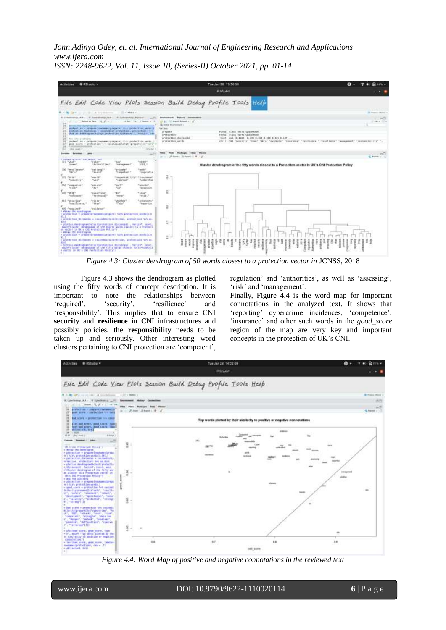*John Adinya Odey, et. al. International Journal of Engineering Research and Applications www.ijera.com*



*ISSN: 2248-9622, Vol. 11, Issue 10, (Series-II) October 2021, pp. 01-14*

*Figure 4.3: Cluster dendrogram of 50 words closest to a protection vector in JCNSS, 2018* 

Figure 4.3 shows the dendrogram as plotted using the fifty words of concept description. It is important to note the relationships between "required", "security", "resilience" and "responsibility". This implies that to ensure CNI **security** and **resilience** in CNI infrastructures and possibly policies, the **responsibility** needs to be taken up and seriously. Other interesting word clusters pertaining to CNI protection are "competent",

regulation' and 'authorities', as well as 'assessing', 'risk' and 'management'.

Finally, Figure 4.4 is the word map for important connotations in the analyzed text. It shows that "reporting" cybercrime incidences, "competence", "insurance" and other such words in the *good\_score* region of the map are very key and important concepts in the protection of UK"s CNI.



*Figure 4.4: Word Map of positive and negative connotations in the reviewed text*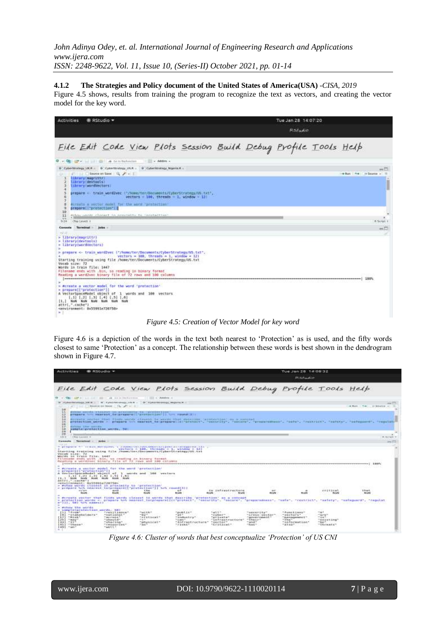**4.1.2 The Strategies and Policy document of the United States of America(USA)** -*CISA, 2019*

Figure 4.5 shows, results from training the program to recognize the text as vectors, and creating the vector model for the key word.

| Activities<br><b>B. RStudio +</b>                                                                                                                                                                                                                                                                                                                                                                                                                                                                                                                                                                                                                                                                        | Tue Jan 28 14:07:20<br>RSHudd0              |
|----------------------------------------------------------------------------------------------------------------------------------------------------------------------------------------------------------------------------------------------------------------------------------------------------------------------------------------------------------------------------------------------------------------------------------------------------------------------------------------------------------------------------------------------------------------------------------------------------------------------------------------------------------------------------------------------------------|---------------------------------------------|
| File Edit Code View Plots Session Build Debug Profile Tools Help                                                                                                                                                                                                                                                                                                                                                                                                                                                                                                                                                                                                                                         |                                             |
| . Aldres a<br>O . O . T . Sill C . A forstanded                                                                                                                                                                                                                                                                                                                                                                                                                                                                                                                                                                                                                                                          |                                             |
| 9 : Cybertmategy /JK# / 9 : Cybertmutegy J/A / / 9 : Cybertmwtegy Nigeria.H /<br>Severant Save   U <sub>nd</sub> P +  <br>Library(magrIllF)<br>Library(devtoots)<br><i><u><b>IshranyrasedVectors</b></u></i><br>5<br>prepare - train wondzwec ("/hyme/ter/BocsmeOts/Cyberstrategy/US.txt",<br>ĸ<br>vectors $100$ , threads $1$ , window $-121$<br>z.<br>舎<br>Acrosta a vector model for the word "protection"<br>э<br>prepare: "protection"    <br>10<br>Withour payment charact in newsleting to incorportion:<br>11<br>77<br>Clina Lewell A<br>5.24                                                                                                                                                    | eЮ<br>- But 1.4 + Source - 1<br>B. Script 2 |
| Terminal bone<br>Connols<br>$-1$<br>> Library(eaorittr)<br>> library(devtools)<br>- Library (wordWectors)<br>> gregarm <- train word2vec ['/home/ter/Documents/CyberStrategy/US.txt", ;<br>vectors = 100, threads = 1, window = 121<br>Starting training using file /home/ter/Documents/CyberStrategy/OS.txt<br>Vocab size: 72<br>Words in train file: 1447<br>Filenme ends with thin, no reading in binary format<br>Reading a wordzync binary file of 72 rows and 100 columns<br>> #create a vector model for the word 'protection'<br>> prepare[["protection"]]<br>A VectorSpaceModel object of 1 words and 180 vectors.<br>$1.31$ $1.21$ $1.31$ $1.41$ $1.51$ $1.61$<br>[1,] NaN NaN NaW NaN NaM NaM | $m\Box$                                     |

*Figure 4.5: Creation of Vector Model for key word*

Figure 4.6 is a depiction of the words in the text both nearest to 'Protection' as is used, and the fifty words closest to same "Protection" as a concept. The relationship between these words is best shown in the dendrogram shown in Figure 4.7.

| <b>ACEIVIEINS</b><br><b>B. RStudio +</b>                                                                                                                                                                                                                                                                    |                                                                                                                           |                                                                                                                                                         |                                                                                                |                                                                                                                                                                                                                                                                                                  |                                                                                                                         | Tue Jan 28 14:08:32<br><b>D. S. Paulio</b>                                                                               |                                                                          |                                                                                                                                                                  |
|-------------------------------------------------------------------------------------------------------------------------------------------------------------------------------------------------------------------------------------------------------------------------------------------------------------|---------------------------------------------------------------------------------------------------------------------------|---------------------------------------------------------------------------------------------------------------------------------------------------------|------------------------------------------------------------------------------------------------|--------------------------------------------------------------------------------------------------------------------------------------------------------------------------------------------------------------------------------------------------------------------------------------------------|-------------------------------------------------------------------------------------------------------------------------|--------------------------------------------------------------------------------------------------------------------------|--------------------------------------------------------------------------|------------------------------------------------------------------------------------------------------------------------------------------------------------------|
| File Edit Code View Plots Session Build Debug Profile Tools Help                                                                                                                                                                                                                                            |                                                                                                                           |                                                                                                                                                         |                                                                                                |                                                                                                                                                                                                                                                                                                  |                                                                                                                         |                                                                                                                          |                                                                          |                                                                                                                                                                  |
|                                                                                                                                                                                                                                                                                                             | APACALITY BUILD A ALLA Habanna                                                                                            | 1.1. ISSN 10-1-Administrative                                                                                                                           |                                                                                                |                                                                                                                                                                                                                                                                                                  |                                                                                                                         |                                                                                                                          |                                                                          |                                                                                                                                                                  |
| Faberhardscopy, Hill B.  97 Eato-Philodelet County - 97 Eato-Strategy, Majoria B.                                                                                                                                                                                                                           |                                                                                                                           |                                                                                                                                                         |                                                                                                |                                                                                                                                                                                                                                                                                                  |                                                                                                                         |                                                                                                                          |                                                                          |                                                                                                                                                                  |
| 38                                                                                                                                                                                                                                                                                                          | $\label{eq:1} \Omega_{\mathbf{k}} \cdot \mathbf{Z} = 0$                                                                   |                                                                                                                                                         |                                                                                                |                                                                                                                                                                                                                                                                                                  |                                                                                                                         |                                                                                                                          |                                                                          | and Market C. Chap-<br>$    -$                                                                                                                                   |
| 2x<br>53                                                                                                                                                                                                                                                                                                    |                                                                                                                           | globales morroba klassicum (ex monociality wa province-types)<br>propers followed to properly to a required ( "structure is the " ) ] form remand ( ) ; |                                                                                                |                                                                                                                                                                                                                                                                                                  |                                                                                                                         |                                                                                                                          |                                                                          |                                                                                                                                                                  |
| $+8$<br>54                                                                                                                                                                                                                                                                                                  |                                                                                                                           |                                                                                                                                                         | Provide Septem (that Sinks until) (there's ha annie that describe (protection) as a annoual (  |                                                                                                                                                                                                                                                                                                  |                                                                                                                         |                                                                                                                          |                                                                          |                                                                                                                                                                  |
| ks<br>荨                                                                                                                                                                                                                                                                                                     |                                                                                                                           |                                                                                                                                                         |                                                                                                |                                                                                                                                                                                                                                                                                                  |                                                                                                                         |                                                                                                                          |                                                                          | protection werds = prepare to meanst to properation protects. "security", "pecura", "properatess", "sete", "restricts, "setery", "setery", "setery", "security", |
| Millions   Line   advertis<br>ãœ<br><b>NUMBER (STORES ENTIRES)</b>                                                                                                                                                                                                                                          |                                                                                                                           |                                                                                                                                                         |                                                                                                |                                                                                                                                                                                                                                                                                                  |                                                                                                                         |                                                                                                                          |                                                                          |                                                                                                                                                                  |
| 三段)<br>习题                                                                                                                                                                                                                                                                                                   |                                                                                                                           |                                                                                                                                                         |                                                                                                |                                                                                                                                                                                                                                                                                                  |                                                                                                                         |                                                                                                                          |                                                                          |                                                                                                                                                                  |
| <b>ITELE LANGER B</b><br>15.6                                                                                                                                                                                                                                                                               |                                                                                                                           |                                                                                                                                                         |                                                                                                |                                                                                                                                                                                                                                                                                                  |                                                                                                                         |                                                                                                                          |                                                                          | H-Nevada 7                                                                                                                                                       |
| Curiosofo<br><b>Those contributions</b>                                                                                                                                                                                                                                                                     | porkey.                                                                                                                   |                                                                                                                                                         |                                                                                                |                                                                                                                                                                                                                                                                                                  |                                                                                                                         |                                                                                                                          |                                                                          |                                                                                                                                                                  |
| MOVIEL 18 IVALD TIAM: 1447<br>Filenwee ends sith into, so reading in Hinney furees.<br>Reading a wordiner binary file of 72 rows and 100 columns<br>= #create a vector model for the word "protection"<br>preparell'aratection'i<br>A drain-function-content of the second<br>1.31 (.21 1.31 1.41 1.51 1.61 |                                                                                                                           | 1 -words and 1888 vectors.                                                                                                                              |                                                                                                |                                                                                                                                                                                                                                                                                                  |                                                                                                                         |                                                                                                                          |                                                                          | cowermanners [ : 150%                                                                                                                                            |
| EX. 3 Septe Houte Hould Halley House Hould<br>attri, conchety<br>=environment: @x55991e720759=<br>> #show words closest in proximity to "protection"<br>= propare but mearnst totarepare(["protection"]] beh resource:<br>49.676<br>PEUGRA.                                                                 | and<br>Polant                                                                                                             | the most of the Contribution of the par-<br>the<br><b>Pincette</b>                                                                                      | $x + 7$<br><b>NVANT</b>                                                                        | ing the series of short products.<br>to infrastructure<br><b>PEGAR</b><br><b>PEUGER</b>                                                                                                                                                                                                          | <b>STEP</b><br><b>DIE</b><br><b>FEWM</b>                                                                                | <b>1.1.40</b><br><b>Holt</b>                                                                                             | 95000am<br><b>RESERVAS</b><br><b>FEDDA</b>                               | リトロイ<br>that<br><b>FEGAN</b>                                                                                                                                     |
| = #truste.voctor that finds werds closest to words that doorribe 'protection' as a concept<br>> protection words + dramars ton manner to(properalic) restarting "security", "escuration", "properatess", "restrict", "restrict", "safety", "safeguard", "regulat<br>m=331, 582 Set names (3                 |                                                                                                                           |                                                                                                                                                         |                                                                                                |                                                                                                                                                                                                                                                                                                  |                                                                                                                         |                                                                                                                          |                                                                          |                                                                                                                                                                  |
| - exhow the words<br>r samileinraineilen sachla. BBI-<br>$11.1 - 4 + 10.0$<br>"Etakebolders"<br>$-583$<br>$1271 - 81465$<br>253 "may"<br>$331 - 11$<br>411-T15mme <sup>-</sup><br>$(49)$ $\%$ mm <sup>2</sup>                                                                                               | "resiliance"<br>"national"<br>Filters mixed at 15<br>"shouter<br>"aharing"<br>" Friday Friday<br>$m_{\rm Edd} \equiv 1.7$ | <b>CONTRACTOR</b><br>Fort Link<br>margin.<br>でのおよなおはみなす。<br>Mar R.C.<br>下の物があるのあり。<br><b>TANK</b>                                                       | けいしき などうじゃー<br>"public"<br>で細胞の<br>TANBURETY?<br>Financial Film<br>"Infrastructure<br>7.714867 | <b><i>Brand Brand Brand Brand Brand Brand Brand Brand Brand Brand Brand Brand Brand Brand Brand Brand Brand Brand Brand Brand Brand Brand Brand Brand Brand Brand Brand Brand Brand Brand Brand</i></b><br>Fuel 4.P.<br>"Cyber"<br>Two I was Lat ?<br>"Enfrantructure"<br>"sector"<br>で広げまる当成抽象で | (アルス)をステリスト200<br>"security".<br>"Cross-goctor"<br>" growwa vialue o E. "<br>$=$ if the 1 $r$ $+$<br>"State"<br>「手にはあって | "Functions"<br>で当社にもなさまで、<br>"But rungenberg L"<br><b><i>IF THEFT</i></b><br>"information"<br>$T = L \otimes \omega T$ . | <b>HALL</b><br>であれるだ<br>三本板下<br>"NATURING"<br><b>PERMIT</b><br>平安斯式新新美术平 |                                                                                                                                                                  |

*Figure 4.6: Cluster of words that best conceptualize 'Protection' of US CNI*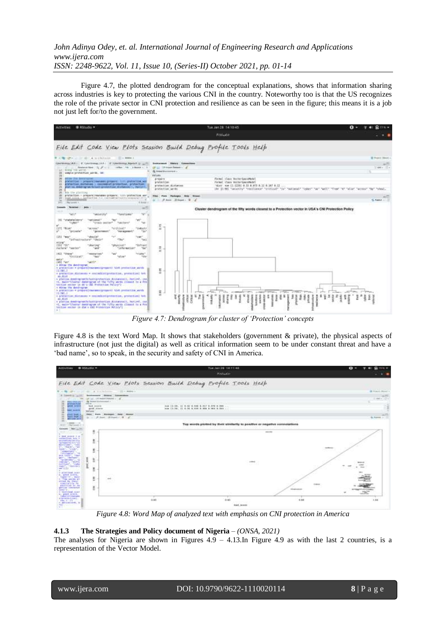Figure 4.7, the plotted dendrogram for the conceptual explanations, shows that information sharing across industries is key to protecting the various CNI in the country. Noteworthy too is that the US recognizes the role of the private sector in CNI protection and resilience as can be seen in the figure; this means it is a job not just left for/to the government.



*Figure 4.7: Dendrogram for cluster of 'Protection' concepts*

Figure 4.8 is the text Word Map. It shows that stakeholders (government & private), the physical aspects of infrastructure (not just the digital) as well as critical information seem to be under constant threat and have a 'bad name', so to speak, in the security and safety of CNI in America.



*Figure 4.8: Word Map of analyzed text with emphasis on CNI protection in America*

## **4.1.3 The Strategies and Policy document of Nigeria** – *(ONSA, 2021)*

The analyses for Nigeria are shown in Figures  $4.9 - 4.13$ . In Figure  $4.9$  as with the last 2 countries, is a representation of the Vector Model.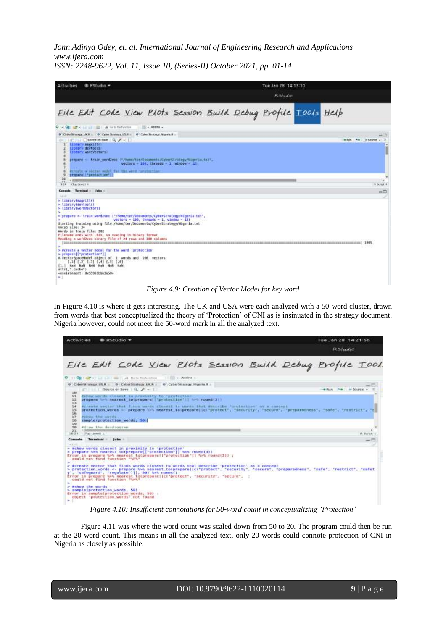| Activities<br><b>B RStudio +</b>                                                                                                                                                                                                                                                                                                                                                                                                                                                                                                                                                                                                                                                                             | Tue Jan 28 14:13:10      |           |
|--------------------------------------------------------------------------------------------------------------------------------------------------------------------------------------------------------------------------------------------------------------------------------------------------------------------------------------------------------------------------------------------------------------------------------------------------------------------------------------------------------------------------------------------------------------------------------------------------------------------------------------------------------------------------------------------------------------|--------------------------|-----------|
|                                                                                                                                                                                                                                                                                                                                                                                                                                                                                                                                                                                                                                                                                                              | RStudio                  |           |
| File Edit Code View Plots Session Build Debug Profile Tools Help                                                                                                                                                                                                                                                                                                                                                                                                                                                                                                                                                                                                                                             |                          |           |
| O - Q C + ii ii ii m + ii s fataratas<br>Address -                                                                                                                                                                                                                                                                                                                                                                                                                                                                                                                                                                                                                                                           |                          |           |
| 9 CyberStrategy, UKR 9 CyberStrategy USR 9 CyberStrategy Ntarris.R .:<br>Search Contract on Seve   C. F +  <br><b>Library Magnitty</b><br><b>Ilbrary devtools!</b><br>Library (wardWestors)<br>prepare - train wordzwac ("/home/tor/Documents/CaburStrategy/Miseria.txt",<br>$vectors = 100$ , throads = 1, window = 12<br>Private a vector mudel for the word "protection"                                                                                                                                                                                                                                                                                                                                  | allon   he   in Source + |           |
| prepare     "protection"    <br>10<br>$-41$<br><b>Chelevel I</b><br>9.24                                                                                                                                                                                                                                                                                                                                                                                                                                                                                                                                                                                                                                     |                          | R Scrat 2 |
| Consule: Turnsirusi : jobs :<br><b>INCID</b><br>> library(magrittr)<br>- libraryidevtools)                                                                                                                                                                                                                                                                                                                                                                                                                                                                                                                                                                                                                   |                          | $mn \Box$ |
| > library[wornVectors]<br>$\rightarrow$<br>> pruparm <- train word2vec {'/home/ter/Documents/CyberStrategy/Nigeria.txt',<br>vectors = 100, throads = 1, window = 12)<br>Starting training using file /home/ter/Documents/CyberStrategy/Migeria.txt<br>Vocab size: 24<br>Words in train file: 362<br>Filemame ends with .bis, so reading in hinary Termat<br>Reading a word2vec binary file of 24 rows and 100 columns<br><b>Experiences</b> and significant<br>×.<br>> #create a vector model for the word 'protection'<br>> prepare[["protection"]]<br>A VectorSpaceModel object of 1 words and 180 vectors<br>1.11 1.21 1.31 1.41 1.51 1.61<br>[1,] Nati half Half Half Halt Half<br>aftri,".cacha")<br>÷1 |                          |           |

#### *Figure 4.9: Creation of Vector Model for key word*

In Figure 4.10 is where it gets interesting. The UK and USA were each analyzed with a 50-word cluster, drawn from words that best conceptualized the theory of "Protection" of CNI as is insinuated in the strategy document. Nigeria however, could not meet the 50-word mark in all the analyzed text.

| <b>Activities</b><br><b>B</b> RStudio                                                                                                                                                                                                                                                                                                                                                                                                                                                                                                                                                                                                                                                                                                                                                            | Tue Jan 28 14/21/56<br>Ratudio |
|--------------------------------------------------------------------------------------------------------------------------------------------------------------------------------------------------------------------------------------------------------------------------------------------------------------------------------------------------------------------------------------------------------------------------------------------------------------------------------------------------------------------------------------------------------------------------------------------------------------------------------------------------------------------------------------------------------------------------------------------------------------------------------------------------|--------------------------------|
| File Edit Code View Plots Session Build Debug Profile Tool.                                                                                                                                                                                                                                                                                                                                                                                                                                                                                                                                                                                                                                                                                                                                      |                                |
| E + CEIT OF + 1 LL LLI - ELI - ELI - A CALIFORNIA - 1   IL - ADDITE                                                                                                                                                                                                                                                                                                                                                                                                                                                                                                                                                                                                                                                                                                                              |                                |
| @ CyberStrategy USR : @ CyberStrategy UKR : @ CyberStrategy Nigeria.R :<br>Seurce on Seve   N. / - 1<br>3.337                                                                                                                                                                                                                                                                                                                                                                                                                                                                                                                                                                                                                                                                                    | <b>SHEET</b>                   |
| 12<br>#show wands closest in proximity fourwrate(time)<br>12<br>prepare has nearest to prepare! "protection"   550 round 37)<br>13<br>14<br>#crowle vector that finds words closest to words that westribe 'protection' as a concept<br>15<br>protection words < prepare \>\ nearest to(preparelici"protect", "security", "secura", "preparedness", "safe", "rautrict", "s<br>16<br>17<br>PSTON THE NOTER CONSUMERS<br>IB.<br>sample protection words, 30 M<br>IG.<br>20<br>#draw the dendrogram<br>21<br>- I TOp Lavest 2 T<br>10,29                                                                                                                                                                                                                                                            | it Script t                    |
| Consale Terminal Julis                                                                                                                                                                                                                                                                                                                                                                                                                                                                                                                                                                                                                                                                                                                                                                           | - 1                            |
| $-100$<br>= #show words closest in proximity to 'protection'<br>> propare two nearest to(prepare[]"protection"]] two round(3))<br>Error in prepare los nearest to(prepare) "protection"   hot round(3)) ;<br>could not find function "Sol"<br>> #create vector that finds words closest to words that describe 'protection' as a concept<br>> protection words <- prepare N>% nearest to(prepare[[cl*protect*, "security", "secure*, "preparedness", "safe", "restrict*, "safet<br>y", "safeguard", "regulate")]], 50) New names().<br>Error in prepare tot nearest to(prepare) [cf protect", "security", "securit", :<br>could not find function "ask"<br>> #show the words<br>> sample(protection words, 58)<br>Error in sample(protection words, 50) :<br>object 'protection words' not found |                                |

*Figure 4.10: Insufficient connotations for 50-word count in conceptualizing 'Protection'*

Figure 4.11 was where the word count was scaled down from 50 to 20. The program could then be run at the 20-word count. This means in all the analyzed text, only 20 words could connote protection of CNI in Nigeria as closely as possible.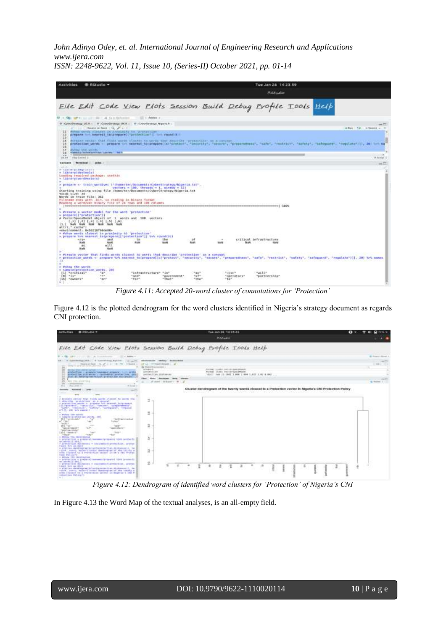*John Adinya Odey, et. al. International Journal of Engineering Research and Applications www.ijera.com*

| ISSN: 2248-9622, Vol. 11, Issue 10, (Series-II) October 2021, pp. 01-14 |  |  |  |  |  |  |
|-------------------------------------------------------------------------|--|--|--|--|--|--|
|-------------------------------------------------------------------------|--|--|--|--|--|--|

| Activities                                               | <b>Ritudio -</b>                                |                                                                                                                   |                        |                 |                        | Tue Jan 25 14/23/59                 |  |                                                                                                                                                                                                                                |
|----------------------------------------------------------|-------------------------------------------------|-------------------------------------------------------------------------------------------------------------------|------------------------|-----------------|------------------------|-------------------------------------|--|--------------------------------------------------------------------------------------------------------------------------------------------------------------------------------------------------------------------------------|
|                                                          |                                                 |                                                                                                                   |                        |                 |                        | <b>FLSfockid</b>                    |  |                                                                                                                                                                                                                                |
|                                                          |                                                 | Eile Edit Code View Plots Session Build Debug Profile Tools Help                                                  |                        |                 |                        |                                     |  |                                                                                                                                                                                                                                |
| D . s. Oh . of a . is all . on . A Gandelsman            |                                                 | 11 Italy of children in                                                                                           |                        |                 |                        |                                     |  |                                                                                                                                                                                                                                |
|                                                          | and a simple between the factor of the price of | CybeltStratopy US # : #   CyberStratopy UK # : #   EyberStratopy Migiolia #                                       |                        |                 |                        |                                     |  | $***11$<br>when he is been at                                                                                                                                                                                                  |
| 32                                                       |                                                 | 11 Fakus weeds rinaged in attackedig in garagetime<br>prepare but heavest taiprepare("protection")] but found(3)) |                        |                 |                        |                                     |  |                                                                                                                                                                                                                                |
| 13                                                       |                                                 |                                                                                                                   |                        |                 |                        |                                     |  |                                                                                                                                                                                                                                |
| 34<br>15                                                 |                                                 | #SPANTH Vector that finds works (innest to words that describe rerotaction) on a resumer.                         |                        |                 |                        |                                     |  | protection words - prepare to searest to proposeticity protect"; "security", "security", "security", "sale", "sale", "security"; "sale", "salesty"; "salesty", "salesty", "salesty", "salesty", "salesty", "salesty", "salesty |
| 16<br>17<br>SUMMERS CARD NUMBER                          |                                                 |                                                                                                                   |                        |                 |                        |                                     |  |                                                                                                                                                                                                                                |
| 26.<br>$-44$                                             | <b>Summits decorate that are considered</b>     |                                                                                                                   |                        |                 |                        |                                     |  |                                                                                                                                                                                                                                |
| <b>Clay Level T</b><br>18.28                             |                                                 |                                                                                                                   |                        |                 |                        |                                     |  | R. Boxes L.                                                                                                                                                                                                                    |
| Terrebeck  juice<br>Cornale<br><b>CAN AR</b>             |                                                 |                                                                                                                   |                        |                 |                        |                                     |  | $m + 1$                                                                                                                                                                                                                        |
| of Cass set pulsear a nor p                              |                                                 |                                                                                                                   |                        |                 |                        |                                     |  |                                                                                                                                                                                                                                |
| * Library(devicels)<br>Lunding required package: usettis |                                                 |                                                                                                                   |                        |                 |                        |                                     |  |                                                                                                                                                                                                                                |
| = ilbrareleardVectors)                                   |                                                 |                                                                                                                   |                        |                 |                        |                                     |  |                                                                                                                                                                                                                                |
|                                                          |                                                 | > prepare <- train wondows: ("/home/ter/Bocuments/CyberStrategy/MigerLE.tst", .                                   |                        |                 |                        |                                     |  |                                                                                                                                                                                                                                |
|                                                          |                                                 | $vector = 100$ . Through = 1, window = 121                                                                        |                        |                 |                        |                                     |  |                                                                                                                                                                                                                                |
| Vocas size: 24                                           |                                                 | Starting training using file /bome/taryDocumeets/CyberStrategy/Wigeria.txt                                        |                        |                 |                        |                                     |  |                                                                                                                                                                                                                                |
| Words in train file: 362                                 |                                                 |                                                                                                                   |                        |                 |                        |                                     |  |                                                                                                                                                                                                                                |
|                                                          |                                                 | Fileseme ends with him, as reading in himsey formet<br>Reading a wordZysc sinary file of 24 rous and 106 columns. |                        |                 |                        |                                     |  |                                                                                                                                                                                                                                |
|                                                          |                                                 |                                                                                                                   |                        |                 |                        | ABS:   concessorates and concess    |  |                                                                                                                                                                                                                                |
| > #create a vector model for the word 'protection'       |                                                 |                                                                                                                   |                        |                 |                        |                                     |  |                                                                                                                                                                                                                                |
| > preparelimprotection"31                                |                                                 | A VectorSpaceModel object of 1 words and 100 vectors                                                              |                        |                 |                        |                                     |  |                                                                                                                                                                                                                                |
|                                                          | $[0,1]$ $[0,1]$ $[0,1]$ $[0,1]$ $[0,1]$ $[0,1]$ |                                                                                                                   |                        |                 |                        |                                     |  |                                                                                                                                                                                                                                |
| 13.1 Nov Nati Nov Nati Nati Nati<br>attrict.comeri       |                                                 |                                                                                                                   |                        |                 |                        |                                     |  |                                                                                                                                                                                                                                |
|                                                          |                                                 |                                                                                                                   |                        |                 |                        |                                     |  |                                                                                                                                                                                                                                |
| = #show wards closest in proximity to "protection"       |                                                 | > prepare hos nearest technologicall'profestion'll hos round(3))                                                  |                        |                 |                        |                                     |  |                                                                                                                                                                                                                                |
| $-1/5$                                                   | and                                             | -Title                                                                                                            | EFel                   | 10 <sup>2</sup> | $\sim$                 | trillcal infrastructure             |  |                                                                                                                                                                                                                                |
| <b>Ruski</b><br>86                                       | <b>read</b><br>$W_0^*$ 11                       | <b>Note</b>                                                                                                       | North                  | <b>Roofs</b>    | Month                  | New York Controller<br><b>15 MV</b> |  |                                                                                                                                                                                                                                |
| <b>TEAM</b>                                              | <b>Wald</b>                                     |                                                                                                                   |                        |                 |                        |                                     |  |                                                                                                                                                                                                                                |
| $\Gamma$ 3.                                              |                                                 | a screate vector that finds words closes! to words that describe 'profection' as a concept                        |                        |                 |                        |                                     |  | > protection words <- prepare S>9 meanint to(proporal(c)"protect", "escurity", "escurity", "preparamenas", "anda", "restrict", "andaty", "andapusa", "repulate"))), 20) S>9 means                                              |
|                                                          |                                                 |                                                                                                                   |                        |                 |                        |                                     |  |                                                                                                                                                                                                                                |
| a shings the words.<br>a sample(protection words, 20)    | contact and complete                            |                                                                                                                   |                        |                 |                        |                                     |  |                                                                                                                                                                                                                                |
| [1] "critical"                                           | $n_{B}$                                         | "isfractracture" "in"                                                                                             |                        | $-44$           | 95/85                  | $-4111 +$                           |  |                                                                                                                                                                                                                                |
| $[01 - 147]$<br>$[35]$ "owners"                          | 7.47<br>"an"                                    | "and"<br>"far"                                                                                                    | "Government"<br>"that" | nate.<br>"the"  | "operators"<br>$Ta2$ . | "partnership"                       |  |                                                                                                                                                                                                                                |
| $-1$                                                     |                                                 |                                                                                                                   |                        |                 |                        |                                     |  |                                                                                                                                                                                                                                |

*Figure 4.11: Accepted 20-word cluster of connotations for 'Protection'*

Figure 4.12 is the plotted dendrogram for the word clusters identified in Nigeria's strategy document as regards CNI protection.



*Figure 4.12: Dendrogram of identified word clusters for 'Protection' of Nigeria's CNI*

In Figure 4.13 the Word Map of the textual analyses, is an all-empty field.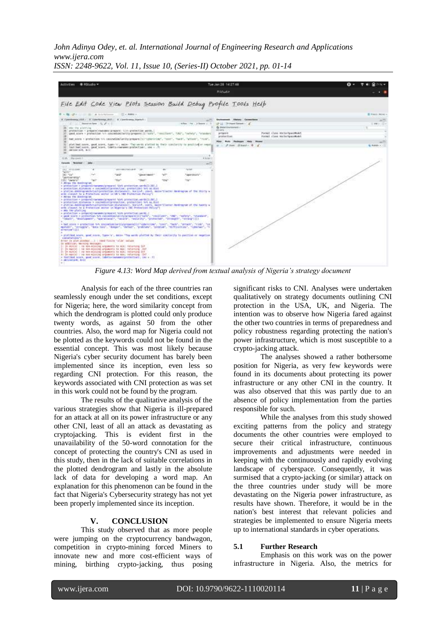*John Adinya Odey, et. al. International Journal of Engineering Research and Applications www.ijera.com*



*ISSN: 2248-9622, Vol. 11, Issue 10, (Series-II) October 2021, pp. 01-14*

*Figure 4.13: Word Map derived from textual analysis of Nigeria's strategy document*

Analysis for each of the three countries ran seamlessly enough under the set conditions, except for Nigeria; here, the word similarity concept from which the dendrogram is plotted could only produce twenty words, as against 50 from the other countries. Also, the word map for Nigeria could not be plotted as the keywords could not be found in the essential concept. This was most likely because Nigeria's cyber security document has barely been implemented since its inception, even less so regarding CNI protection. For this reason, the keywords associated with CNI protection as was set in this work could not be found by the program.

The results of the qualitative analysis of the various strategies show that Nigeria is ill-prepared for an attack at all on its power infrastructure or any other CNI, least of all an attack as devastating as cryptojacking. This is evident first in the unavailability of the 50-word connotation for the concept of protecting the country's CNI as used in this study, then in the lack of suitable correlations in the plotted dendrogram and lastly in the absolute lack of data for developing a word map. An explanation for this phenomenon can be found in the fact that Nigeria's Cybersecurity strategy has not yet been properly implemented since its inception.

#### **V. CONCLUSION**

This study observed that as more people were jumping on the cryptocurrency bandwagon, competition in crypto-mining forced Miners to innovate new and more cost-efficient ways of mining, birthing crypto-jacking, thus posing significant risks to CNI. Analyses were undertaken qualitatively on strategy documents outlining CNI protection in the USA, UK, and Nigeria. The intention was to observe how Nigeria fared against the other two countries in terms of preparedness and policy robustness regarding protecting the nation's power infrastructure, which is most susceptible to a crypto-jacking attack.

The analyses showed a rather bothersome position for Nigeria, as very few keywords were found in its documents about protecting its power infrastructure or any other CNI in the country. It was also observed that this was partly due to an absence of policy implementation from the parties responsible for such.

While the analyses from this study showed exciting patterns from the policy and strategy documents the other countries were employed to secure their critical infrastructure, continuous improvements and adjustments were needed in keeping with the continuously and rapidly evolving landscape of cyberspace. Consequently, it was surmised that a crypto-jacking (or similar) attack on the three countries under study will be more devastating on the Nigeria power infrastructure, as results have shown. Therefore, it would be in the nation's best interest that relevant policies and strategies be implemented to ensure Nigeria meets up to international standards in cyber operations.

#### **5.1 Further Research**

Emphasis on this work was on the power infrastructure in Nigeria. Also, the metrics for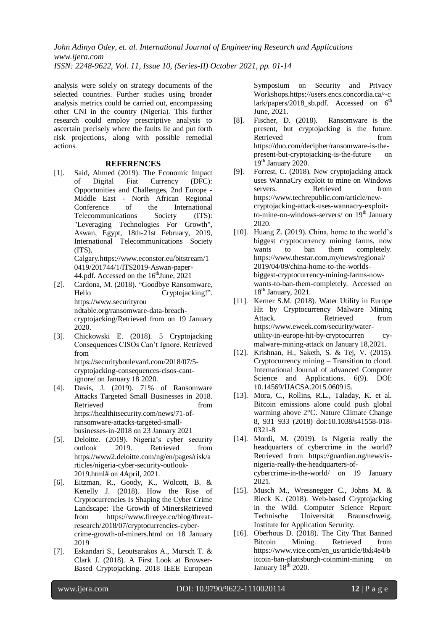analysis were solely on strategy documents of the selected countries. Further studies using broader analysis metrics could be carried out, encompassing other CNI in the country (Nigeria). This further research could employ prescriptive analysis to ascertain precisely where the faults lie and put forth risk projections, along with possible remedial actions.

#### **REFERENCES**

[1]. Said, Ahmed (2019): The Economic Impact of Digital Fiat Currency (DFC): Opportunities and Challenges, 2nd Europe - Middle East - North African Regional Conference of the International Telecommunications Society (ITS): "Leveraging Technologies For Growth", Aswan, Egypt, 18th-21st February, 2019, International Telecommunications Society (ITS), Calgary.https://www.econstor.eu/bitstream/1

0419/201744/1/ITS2019-Aswan-paper-44.pdf. Accessed on the  $16<sup>th</sup>$  June, 2021

- [2]. Cardona, M. (2018). "Goodbye Ransomware, Hello Cryptojacking!". https://www.securityrou ndtable.org/ransomware-data-breachcryptojacking/Retrieved from on 19 January 2020.
- [3]. Chickowski E. (2018). 5 Cryptojacking Consequences CISOs Can"t Ignore. Retrieved from [https://securityboulevard.com/2018/07/5](https://securityboulevard.com/2018/07/5-cryptojacking-consequences-cisos-cant-ignore/) [cryptojacking-consequences-cisos-cant](https://securityboulevard.com/2018/07/5-cryptojacking-consequences-cisos-cant-ignore/)[ignore/](https://securityboulevard.com/2018/07/5-cryptojacking-consequences-cisos-cant-ignore/) on January 18 2020.
- [4]. Davis, J. (2019). 71% of Ransomware Attacks Targeted Small Businesses in 2018. Retrieved from  $\sim$ [https://healthitsecurity.com/news/71-of](https://healthitsecurity.com/news/71-of-ransomware-attacks-targeted-small-businesses-in-2018)[ransomware-attacks-targeted-small](https://healthitsecurity.com/news/71-of-ransomware-attacks-targeted-small-businesses-in-2018)[businesses-in-2018](https://healthitsecurity.com/news/71-of-ransomware-attacks-targeted-small-businesses-in-2018) on 23 January 2021
- [5]. Deloitte. (2019). Nigeria's cyber security outlook 2019. Retrieved from [https://www2.deloitte.com/ng/en/pages/risk/a](https://www2.deloitte.com/ng/en/pages/risk/articles/nigeria-cyber-security-outlook-2019.html) [rticles/nigeria-cyber-security-outlook-](https://www2.deloitte.com/ng/en/pages/risk/articles/nigeria-cyber-security-outlook-2019.html)[2019.html#](https://www2.deloitte.com/ng/en/pages/risk/articles/nigeria-cyber-security-outlook-2019.html) on 4April, 2021.
- [6]. Eitzman, R., Goody, K., Wolcott, B. & Kenelly J. (2018). How the Rise of Cryptocurrencies Is Shaping the Cyber Crime Landscape: The Growth of MinersRetrieved from [https://www.fireeye.co/blog/threat](https://www.fireeye.co/blog/threat-research/2018/07/cryptocurrencies-cyber-crime-growth-of-miners.html)[research/2018/07/cryptocurrencies-cyber](https://www.fireeye.co/blog/threat-research/2018/07/cryptocurrencies-cyber-crime-growth-of-miners.html)[crime-growth-of-miners.html](https://www.fireeye.co/blog/threat-research/2018/07/cryptocurrencies-cyber-crime-growth-of-miners.html) on 18 January 2019
- [7]. Eskandari S., Leoutsarakos A., Mursch T. & Clark J. (2018). A First Look at Browser-Based Cryptojacking. 2018 IEEE European

Symposium on Security and Privacy Workshops[.https://users.encs.concordia.ca/~c](https://users.encs.concordia.ca/~clark/papers/2018_sb.pdf) lark/papers/2018 sb.pdf. Accessed on  $6<sup>th</sup>$ June, 2021.

- [8]. Fischer, D. (2018). Ransomware is the present, but cryptojacking is the future. Retrieved from [https://duo.com/decipher/ransomware-is-the](https://duo.com/decipher/ransomware-is-the-present-but-cryptojacking-is-the-future)[present-but-cryptojacking-is-the-future](https://duo.com/decipher/ransomware-is-the-present-but-cryptojacking-is-the-future) on  $19<sup>th</sup>$  January 2020.
- [9]. Forrest, C. (2018). New cryptojacking attack uses WannaCry exploit to mine on Windows servers. Retrieved from [https://www.techrepublic.com/article/new](https://www.techrepublic.com/article/new-cryptojacking-attack-uses-wannacry-exploit-to-mine-on-windows-servers/)[cryptojacking-attack-uses-wannacry-exploit](https://www.techrepublic.com/article/new-cryptojacking-attack-uses-wannacry-exploit-to-mine-on-windows-servers/)[to-mine-on-windows-servers/](https://www.techrepublic.com/article/new-cryptojacking-attack-uses-wannacry-exploit-to-mine-on-windows-servers/) on  $19<sup>th</sup>$  January 2020.
- [10]. Huang Z. (2019). China, home to the world's biggest cryptocurrency mining farms, now wants to ban them completely. [https://www.thestar.com.my/news/regional/](https://www.thestar.com.my/news/regional/%202019/04/09/china-home-to-the-worlds-biggest-cryptocurrency-mining-farms-now-wants-to-ban-them-completely)  [2019/04/09/china-home-to-the-worlds](https://www.thestar.com.my/news/regional/%202019/04/09/china-home-to-the-worlds-biggest-cryptocurrency-mining-farms-now-wants-to-ban-them-completely)[biggest-cryptocurrency-mining-farms-now](https://www.thestar.com.my/news/regional/%202019/04/09/china-home-to-the-worlds-biggest-cryptocurrency-mining-farms-now-wants-to-ban-them-completely)[wants-to-ban-them-completely.](https://www.thestar.com.my/news/regional/%202019/04/09/china-home-to-the-worlds-biggest-cryptocurrency-mining-farms-now-wants-to-ban-them-completely) Accessed on 18th January, 2021.
- [11]. Kerner S.M. (2018). Water Utility in Europe Hit by Cryptocurrency Malware Mining Attack. Retrieved from [https://www.eweek.com/security/water](https://www.eweek.com/security/water-utility-in-europe-hit-by-cryptocurren%20cy-malware-mining-attack%20on%20January%2018)[utility-in-europe-hit-by-cryptocurren cy](https://www.eweek.com/security/water-utility-in-europe-hit-by-cryptocurren%20cy-malware-mining-attack%20on%20January%2018)[malware-mining-attack on January 18,](https://www.eweek.com/security/water-utility-in-europe-hit-by-cryptocurren%20cy-malware-mining-attack%20on%20January%2018)2021.
- [12]. Krishnan, H., Saketh, S. & Tej, V. (2015). Cryptocurrency mining – Transition to cloud. International Journal of advanced Computer Science and Applications. 6(9). DOI: 10.14569/IJACSA.2015.060915.
- [13]. Mora, C., Rollins, R.L., Taladay, K. et al. Bitcoin emissions alone could push global warming above 2°C. Nature Climate Change 8, 931–933 (2018) doi:10.1038/s41558-018- 0321-8
- [14]. Mordi, M. (2019). Is Nigeria really the headquarters of cybercrime in the world? Retrieved from [https://guardian.ng/news/is](https://guardian.ng/news/is-nigeria-really-the-headquarters-of-cybercrime-in-the-world/)[nigeria-really-the-headquarters-of](https://guardian.ng/news/is-nigeria-really-the-headquarters-of-cybercrime-in-the-world/)[cybercrime-in-the-world/](https://guardian.ng/news/is-nigeria-really-the-headquarters-of-cybercrime-in-the-world/) on 19 January 2021.
- [15]. Musch M., Wressnegger C., Johns M. & Rieck K. (2018). Web-based Cryptojacking in the Wild. Computer Science Report: Technische Universität Braunschweig, Institute for Application Security.
- [16]. Oberhous D. (2018). The City That Banned Bitcoin Mining. Retrieved from [https://www.vice.com/en\\_us/article/8xk4e4/b](https://www.vice.com/en_us/article/8xk4e4/bitcoin-ban-plattsburgh-coinmint-mining) [itcoin-ban-plattsburgh-coinmint-mining](https://www.vice.com/en_us/article/8xk4e4/bitcoin-ban-plattsburgh-coinmint-mining) on January  $18^{\text{th}}$  2020.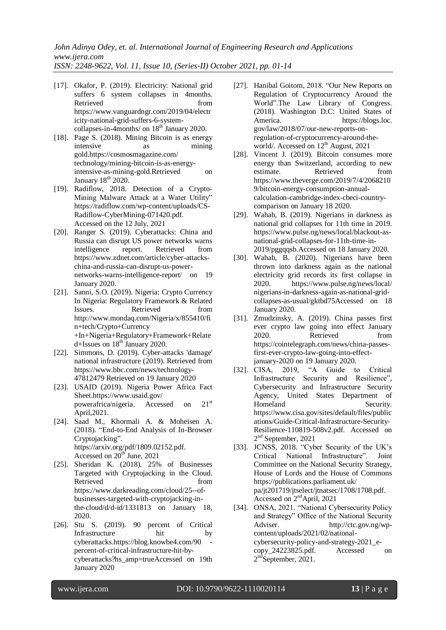- [17]. Okafor, P. (2019). Electricity: National grid suffers 6 system collapses in 4months. Retrieved from from [https://www.vanguardngr.com/2019/04/electr](https://www.vanguardngr.com/2019/04/electricity-national-grid-suffers-6-system-collapses-in-4months/) [icity-national-grid-suffers-6-system](https://www.vanguardngr.com/2019/04/electricity-national-grid-suffers-6-system-collapses-in-4months/)[collapses-in-4months/](https://www.vanguardngr.com/2019/04/electricity-national-grid-suffers-6-system-collapses-in-4months/) on  $18<sup>th</sup>$  January 2020.
- [18]. Page S. (2018). Mining Bitcoin is as energy intensive as mining gold[.https://cosmosmagazine.com/](https://cosmosmagazine.com/%20technology/mining-bitcoin-is-as-energy-intensive-as-mining-gold)  [technology/mining-bitcoin-is-as-energy](https://cosmosmagazine.com/%20technology/mining-bitcoin-is-as-energy-intensive-as-mining-gold)[intensive-as-mining-gold.](https://cosmosmagazine.com/%20technology/mining-bitcoin-is-as-energy-intensive-as-mining-gold)Retrieved on January 18<sup>th</sup> 2020.
- [19]. Radiflow, 2018. Detection of a Crypto-Mining Malware Attack at a Water Utility" [https://radiflow.com/wp-content/uploads/CS-](https://radiflow.com/wp-content/uploads/CS-Radiflow-CyberMining-071420.pdf)[Radiflow-CyberMining-071420.pdf.](https://radiflow.com/wp-content/uploads/CS-Radiflow-CyberMining-071420.pdf) Accessed on the 12 July, 2021
- [20]. Ranger S. (2019). Cyberattacks: China and Russia can disrupt US power networks warns intelligence report. Retrieved from [https://www.zdnet.com/article/cyber-attacks](https://www.zdnet.com/article/cyber-attacks-china-and-russia-can-disrupt-us-power-networks-warns-intelligence-report/)[china-and-russia-can-disrupt-us-power](https://www.zdnet.com/article/cyber-attacks-china-and-russia-can-disrupt-us-power-networks-warns-intelligence-report/)[networks-warns-intelligence-report/](https://www.zdnet.com/article/cyber-attacks-china-and-russia-can-disrupt-us-power-networks-warns-intelligence-report/) on 19 January 2020.
- [21]. Sanni, S.O. (2019). Nigeria: Crypto Currency In Nigeria: Regulatory Framework & Related Issues. Retrieved from [http://www.mondaq.com/Nigeria/x/855410/fi](http://www.mondaq.com/Nigeria/x/855410/fin+tech/Crypto+Currency%20+In+Nigeria+Regulatory+Framework+Related+Issues) [n+tech/Crypto+Currency](http://www.mondaq.com/Nigeria/x/855410/fin+tech/Crypto+Currency%20+In+Nigeria+Regulatory+Framework+Related+Issues)  [+In+Nigeria+Regulatory+Framework+Relate](http://www.mondaq.com/Nigeria/x/855410/fin+tech/Crypto+Currency%20+In+Nigeria+Regulatory+Framework+Related+Issues) [d+Issues](http://www.mondaq.com/Nigeria/x/855410/fin+tech/Crypto+Currency%20+In+Nigeria+Regulatory+Framework+Related+Issues) on 18<sup>th</sup> January 2020.
- [22]. Simmons, D. (2019). Cyber-attacks 'damage' national infrastructure (2019). Retrieved from https://www.bbc.com/news/technology-47812479 Retrieved on 19 January 2020
- [23]. USAID (2019). Nigeria Power Africa Fact Shee[t.https://www.usaid.gov/](https://www.usaid.gov/%20powerafrica/nigeria)  [powerafrica/nigeria.](https://www.usaid.gov/%20powerafrica/nigeria) Accessed on 21<sup>st</sup> April,2021.
- [24]. Saad M., Khormali A. & Moheisen A. (2018). "End-to-End Analysis of In-Browser Cryptojacking". [https://arxiv.org/pdf/1809.02152.pdf.](https://arxiv.org/pdf/1809.02152.pdf) Accessed on  $20<sup>th</sup>$  June, 2021
- [25]. Sheridan K. (2018). 25% of Businesses Targeted with Cryptojacking in the Cloud. Retrieved from [https://www.darkreading.com/cloud/25--of](https://www.darkreading.com/cloud/25--of-businesses-targeted-with-cryptojacking-in-the-cloud/d/d-id/1331813)[businesses-targeted-with-cryptojacking-in](https://www.darkreading.com/cloud/25--of-businesses-targeted-with-cryptojacking-in-the-cloud/d/d-id/1331813)[the-cloud/d/d-id/1331813](https://www.darkreading.com/cloud/25--of-businesses-targeted-with-cryptojacking-in-the-cloud/d/d-id/1331813) on January 18, 2020.
- [26]. Stu S. (2019). 90 percent of Critical Infrastructure hit by cyberattacks.https://blog.knowbe4.com/90 [percent-of-critical-infrastructure-hit-by](https://blog.knowbe4.com/90%20-percent-of-critical-infrastructure-hit-by-cyberattacks?hs_amp=true)[cyberattacks?hs\\_amp=trueA](https://blog.knowbe4.com/90%20-percent-of-critical-infrastructure-hit-by-cyberattacks?hs_amp=true)ccessed on 19th January 2020
- [27]. [Hanibal Goitom,](https://blogs.loc.gov/law/author/hgoi/) 2018. "Our New Reports on Regulation of Cryptocurrency Around the World".The Law Library of Congress. (2018). Washington D.C: United States of America. https://blogs.loc. gov/law/2018/07/our-new-reports-onregulation-of-cryptocurrency-around-theworld/. Accessed on 12<sup>th</sup> August, 2021
- [28]. Vincent J. (2019). Bitcoin consumes more energy than Switzerland, according to new estimate. Retrieved from [https://www.theverge.com/2019/7/4/2068210](https://www.theverge.com/2019/7/4/20682109/bitcoin-energy-consumption-annual-calculation-cambridge-index-cbeci-country-comparison) [9/bitcoin-energy-consumption-annual](https://www.theverge.com/2019/7/4/20682109/bitcoin-energy-consumption-annual-calculation-cambridge-index-cbeci-country-comparison)[calculation-cambridge-index-cbeci-country](https://www.theverge.com/2019/7/4/20682109/bitcoin-energy-consumption-annual-calculation-cambridge-index-cbeci-country-comparison)[comparison](https://www.theverge.com/2019/7/4/20682109/bitcoin-energy-consumption-annual-calculation-cambridge-index-cbeci-country-comparison) on January 18 2020.
- [29]. Wahab, B. (2019). Nigerians in darkness as national grid collapses for 11th time in 2019. [https://www.pulse.ng/news/local/blackout-as](https://www.pulse.ng/news/local/blackout-as-national-grid-collapses-for-11th-time-)[national-grid-collapses-for-11th-time-in-](https://www.pulse.ng/news/local/blackout-as-national-grid-collapses-for-11th-time-)2019/pggqqsb.Accessed on 18 January 2020.
- [30]. Wahab, B. (2020). Nigerians have been thrown into darkness again as the national electricity grid records its first collapse in 2020. [https://www.pulse.ng/news/local/](https://www.pulse.ng/news/local/%20nigerians-in-darkness-again-as-national-grid-collapses-as-usual/gktbd75)  [nigerians-in-darkness-again-as-national-grid](https://www.pulse.ng/news/local/%20nigerians-in-darkness-again-as-national-grid-collapses-as-usual/gktbd75)[collapses-as-usual/gktbd75A](https://www.pulse.ng/news/local/%20nigerians-in-darkness-again-as-national-grid-collapses-as-usual/gktbd75)ccessed on 18 January 2020.
- [31]. Zmudzinsky, A. (2019). China passes first ever crypto law going into effect January 2020. Retrieved from [https://cointelegraph.com/news/china-passes](https://cointelegraph.com/news/china-passes-first-ever-crypto-law-)[first-ever-crypto-law-going-into-effect](https://cointelegraph.com/news/china-passes-first-ever-crypto-law-)january-2020 on 19 January 2020.
- [32]. CISA, 2019, "A Guide to Critical Infrastructure Security and Resilience", Cybersecurity and Infrastructure Security Agency, United States Department of Homeland Security. [https://www.cisa.gov/sites/default/files/public](https://www.cisa.gov/sites/default/files/publications/Guide-Critical-Infrastructure-Security-Resilience-110819-508v2.pdf) [ations/Guide-Critical-Infrastructure-Security-](https://www.cisa.gov/sites/default/files/publications/Guide-Critical-Infrastructure-Security-Resilience-110819-508v2.pdf)[Resilience-110819-508v2.pdf.](https://www.cisa.gov/sites/default/files/publications/Guide-Critical-Infrastructure-Security-Resilience-110819-508v2.pdf) Accessed on 2<sup>nd</sup> September, 2021
- [33]. JCNSS, 2018. "Cyber Security of the UK's Critical National Infrastructure". Joint Committee on the National Security Strategy, House of Lords and the House of Commons [https://publications.parliament.uk/](https://publications.parliament.uk/%20pa/jt201719/jtselect/jtnatsec/1708/1708.pdf)  [pa/jt201719/jtselect/jtnatsec/1708/1708.pdf.](https://publications.parliament.uk/%20pa/jt201719/jtselect/jtnatsec/1708/1708.pdf) Accessed on 2ndApril, 2021
- [34]. ONSA, 2021. "National Cybersecurity Policy and Strategy" Office of the National Security Adviser. http://ctc.gov.ng/wpcontent/uploads/2021/02/nationalcybersecurity-policy-and-strategy-2021\_ecopy\_24223825.pdf. Accessed on  $2<sup>nđ</sup>$ September, 2021.